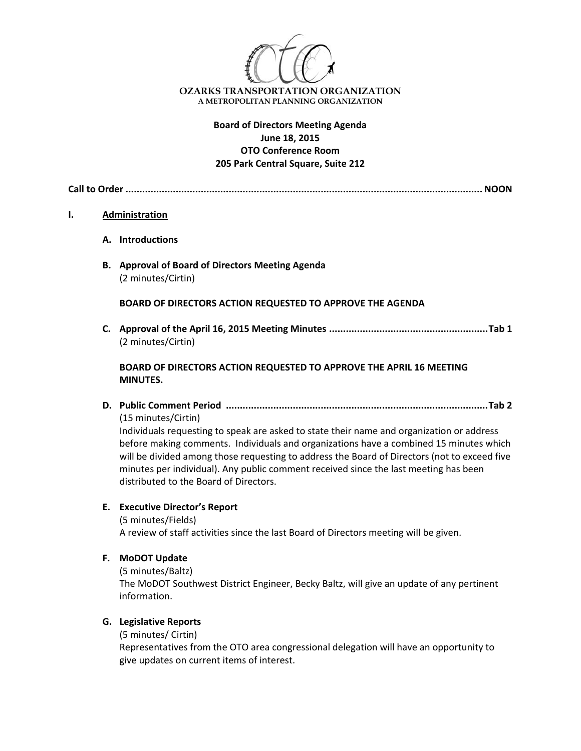

# **Board of Directors Meeting Agenda June 18, 2015 OTO Conference Room 205 Park Central Square, Suite 212**

**Call to Order ................................................................................................................................ NOON**

## **I. Administration**

- **A. Introductions**
- **B. Approval of Board of Directors Meeting Agenda** (2 minutes/Cirtin)

**BOARD OF DIRECTORS ACTION REQUESTED TO APPROVE THE AGENDA**

**C. Approval of the April 16, 2015 Meeting Minutes .........................................................Tab 1** (2 minutes/Cirtin)

# **BOARD OF DIRECTORS ACTION REQUESTED TO APPROVE THE APRIL 16 MEETING MINUTES.**

**D. Public Comment Period ..............................................................................................Tab 2** (15 minutes/Cirtin)

Individuals requesting to speak are asked to state their name and organization or address before making comments. Individuals and organizations have a combined 15 minutes which will be divided among those requesting to address the Board of Directors (not to exceed five minutes per individual). Any public comment received since the last meeting has been distributed to the Board of Directors.

# **E. Executive Director's Report**

(5 minutes/Fields) A review of staff activities since the last Board of Directors meeting will be given.

- **F. MoDOT Update**
	- (5 minutes/Baltz)

The MoDOT Southwest District Engineer, Becky Baltz, will give an update of any pertinent information.

# **G. Legislative Reports**

(5 minutes/ Cirtin)

Representatives from the OTO area congressional delegation will have an opportunity to give updates on current items of interest.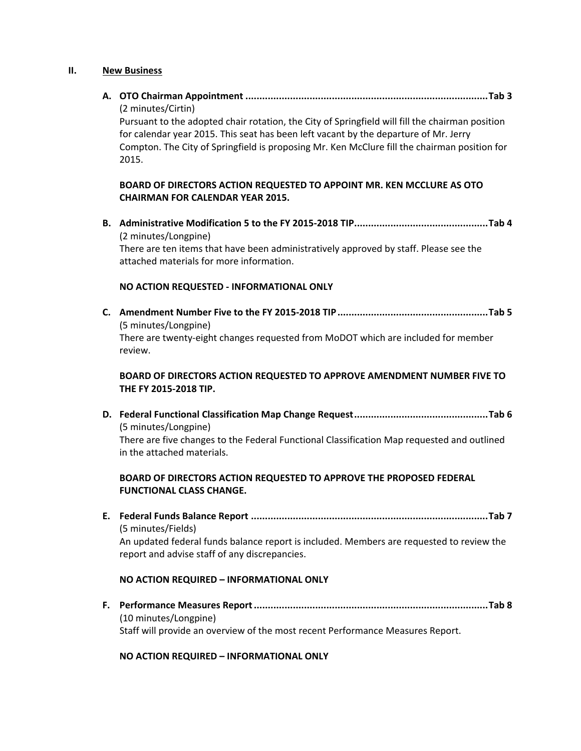#### **II. New Business**

**A. OTO Chairman Appointment .......................................................................................Tab 3** (2 minutes/Cirtin)

Pursuant to the adopted chair rotation, the City of Springfield will fill the chairman position for calendar year 2015. This seat has been left vacant by the departure of Mr. Jerry Compton. The City of Springfield is proposing Mr. Ken McClure fill the chairman position for 2015.

# **BOARD OF DIRECTORS ACTION REQUESTED TO APPOINT MR. KEN MCCLURE AS OTO CHAIRMAN FOR CALENDAR YEAR 2015.**

**B. Administrative Modification 5 to the FY 2015‐2018 TIP................................................Tab 4** (2 minutes/Longpine) There are ten items that have been administratively approved by staff. Please see the attached materials for more information.

# **NO ACTION REQUESTED ‐ INFORMATIONAL ONLY**

**C. Amendment Number Five to the FY 2015‐2018 TIP......................................................Tab 5** (5 minutes/Longpine) There are twenty‐eight changes requested from MoDOT which are included for member review.

# **BOARD OF DIRECTORS ACTION REQUESTED TO APPROVE AMENDMENT NUMBER FIVE TO THE FY 2015‐2018 TIP.**

**D. Federal Functional Classification Map Change Request................................................Tab 6**  (5 minutes/Longpine)

There are five changes to the Federal Functional Classification Map requested and outlined in the attached materials.

# **BOARD OF DIRECTORS ACTION REQUESTED TO APPROVE THE PROPOSED FEDERAL FUNCTIONAL CLASS CHANGE.**

**E. Federal Funds Balance Report .....................................................................................Tab 7** (5 minutes/Fields) An updated federal funds balance report is included. Members are requested to review the

#### **NO ACTION REQUIRED – INFORMATIONAL ONLY**

report and advise staff of any discrepancies.

**F. Performance Measures Report....................................................................................Tab 8** (10 minutes/Longpine) Staff will provide an overview of the most recent Performance Measures Report.

# **NO ACTION REQUIRED – INFORMATIONAL ONLY**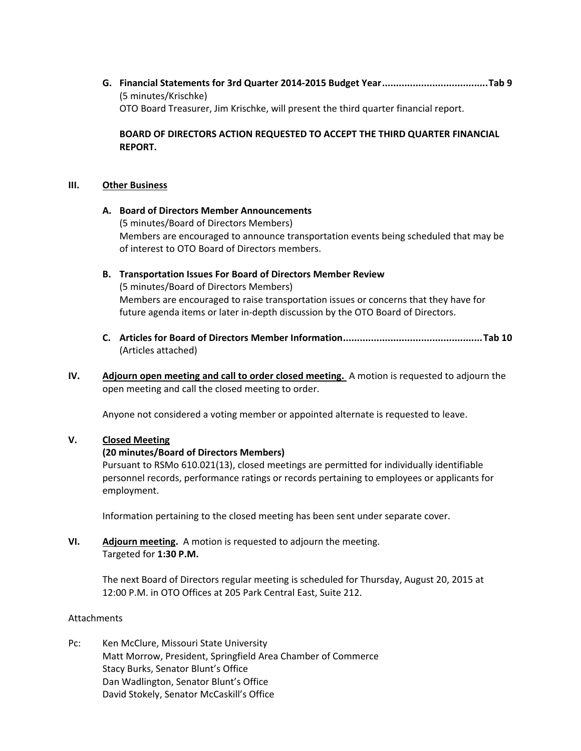**G. Financial Statements for 3rd Quarter 2014‐2015 Budget Year......................................Tab 9** (5 minutes/Krischke) OTO Board Treasurer, Jim Krischke, will present the third quarter financial report.

**BOARD OF DIRECTORS ACTION REQUESTED TO ACCEPT THE THIRD QUARTER FINANCIAL REPORT.**

## **III. Other Business**

## **A. Board of Directors Member Announcements**

(5 minutes/Board of Directors Members) Members are encouraged to announce transportation events being scheduled that may be of interest to OTO Board of Directors members.

# **B. Transportation Issues For Board of Directors Member Review**

(5 minutes/Board of Directors Members) Members are encouraged to raise transportation issues or concerns that they have for future agenda items or later in‐depth discussion by the OTO Board of Directors.

- **C. Articles for Board of Directors Member Information..................................................Tab 10** (Articles attached)
- **IV. Adjourn open meeting and call to order closed meeting.** A motion is requested to adjourn the open meeting and call the closed meeting to order.

Anyone not considered a voting member or appointed alternate is requested to leave.

# **V. Closed Meeting**

# **(20 minutes/Board of Directors Members)**

Pursuant to RSMo 610.021(13), closed meetings are permitted for individually identifiable personnel records, performance ratings or records pertaining to employees or applicants for employment.

Information pertaining to the closed meeting has been sent under separate cover.

# **VI. Adjourn meeting.** A motion is requested to adjourn the meeting. Targeted for **1:30 P.M.**

The next Board of Directors regular meeting is scheduled for Thursday, August 20, 2015 at 12:00 P.M. in OTO Offices at 205 Park Central East, Suite 212.

# Attachments

Pc: Ken McClure, Missouri State University Matt Morrow, President, Springfield Area Chamber of Commerce Stacy Burks, Senator Blunt's Office Dan Wadlington, Senator Blunt's Office David Stokely, Senator McCaskill's Office